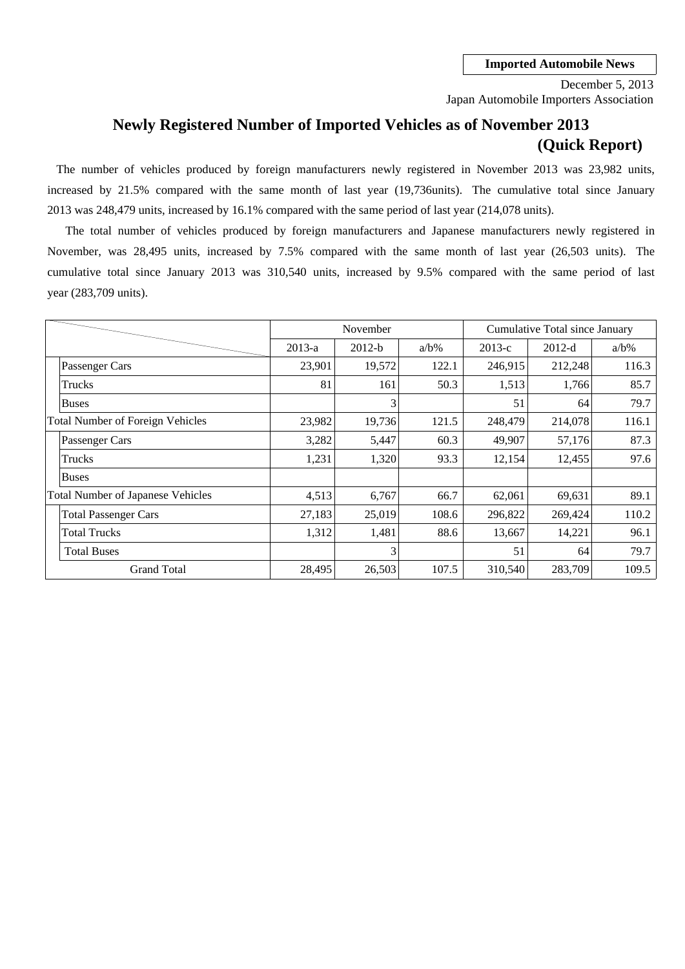Japan Automobile Importers Association December 5, 2013

# **Newly Registered Number of Imported Vehicles as of November 2013 (Quick Report)**

2013 was 248,479 units, increased by 16.1% compared with the same period of last year (214,078 units). The number of vehicles produced by foreign manufacturers newly registered in November 2013 was 23,982 units, increased by 21.5% compared with the same month of last year (19,736units). The cumulative total since January

cumulative total since January 2013 was 310,540 units, increased by 9.5% compared with the same period of last November, was 28,495 units, increased by 7.5% compared with the same month of last year (26,503 units). The year (283,709 units). The total number of vehicles produced by foreign manufacturers and Japanese manufacturers newly registered in

|                                          |          | November |         |          | Cumulative Total since January |         |
|------------------------------------------|----------|----------|---------|----------|--------------------------------|---------|
|                                          | $2013-a$ | $2012-b$ | $a/b\%$ | $2013-c$ | $2012-d$                       | $a/b\%$ |
| Passenger Cars                           | 23,901   | 19,572   | 122.1   | 246,915  | 212,248                        | 116.3   |
| Trucks                                   | 81       | 161      | 50.3    | 1,513    | 1,766                          | 85.7    |
| <b>Buses</b>                             |          | 3        |         | 51       | 64                             | 79.7    |
| <b>Total Number of Foreign Vehicles</b>  | 23,982   | 19,736   | 121.5   | 248,479  | 214,078                        | 116.1   |
| Passenger Cars                           | 3,282    | 5,447    | 60.3    | 49,907   | 57,176                         | 87.3    |
| Trucks                                   | 1,231    | 1,320    | 93.3    | 12,154   | 12,455                         | 97.6    |
| <b>Buses</b>                             |          |          |         |          |                                |         |
| <b>Total Number of Japanese Vehicles</b> | 4,513    | 6,767    | 66.7    | 62,061   | 69,631                         | 89.1    |
| <b>Total Passenger Cars</b>              | 27,183   | 25,019   | 108.6   | 296,822  | 269,424                        | 110.2   |
| <b>Total Trucks</b>                      | 1,312    | 1,481    | 88.6    | 13,667   | 14,221                         | 96.1    |
| <b>Total Buses</b>                       |          | 3        |         | 51       | 64                             | 79.7    |
| <b>Grand Total</b>                       | 28,495   | 26,503   | 107.5   | 310,540  | 283,709                        | 109.5   |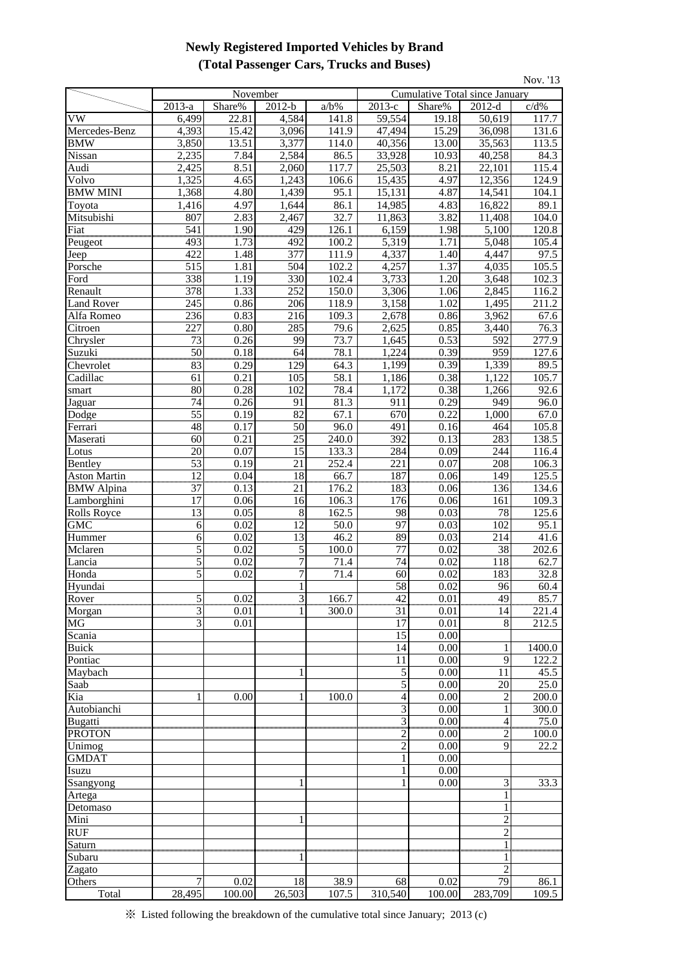## **Newly Registered Imported Vehicles by Brand (Total Passenger Cars, Trucks and Buses)**

| Nov. '13                        |                  |                   |                       |                    |                     |                                       |                        |                |  |
|---------------------------------|------------------|-------------------|-----------------------|--------------------|---------------------|---------------------------------------|------------------------|----------------|--|
|                                 |                  | November          |                       |                    |                     | <b>Cumulative Total since January</b> |                        |                |  |
|                                 | 2013-a           | Share%            | $2012-b$              | $a/b\%$            | $2013-c$            | Share%                                | $2012-d$               | $c/d\%$        |  |
| $\overline{\text{VW}}$          | 6,499            | 22.81             | 4,584                 | 141.8              | 59,554              | 19.18                                 | 50,619                 | 117.7          |  |
| Mercedes-Benz                   | 4,393            | 15.42             | 3,096                 | 141.9              | 47,494              | 15.29                                 | 36,098                 | 131.6          |  |
| <b>BMW</b>                      | 3,850            | 13.51             | 3,377                 | 114.0              | 40,356              | 13.00                                 | 35,563                 | 113.5          |  |
| Nissan<br>Audi                  | 2,235<br>2,425   | 7.84<br>8.51      | 2,584<br>2,060        | 86.5<br>117.7      | 33,928<br>25,503    | 10.93<br>8.21                         | 40,258<br>22,101       | 84.3<br>115.4  |  |
| Volvo                           | 1,325            | 4.65              | 1,243                 | 106.6              | 15,435              | 4.97                                  | 12,356                 | 124.9          |  |
| <b>BMW MINI</b>                 | 1,368            | 4.80              | 1,439                 | 95.1               | 15,131              | 4.87                                  | 14,541                 | 104.1          |  |
| Toyota                          | 1,416            | 4.97              | 1,644                 | 86.1               | 14,985              | 4.83                                  | 16,822                 | 89.1           |  |
| Mitsubishi                      | 807              | 2.83              | 2,467                 | 32.7               | 11,863              | 3.82                                  | 11,408                 | 104.0          |  |
| Fiat                            | $\overline{541}$ | 1.90              | 429                   | 126.1              | 6,159               | 1.98                                  | 5,100                  | 120.8          |  |
| Peugeot                         | 493              | 1.73              | 492                   | 100.2              | 5,319               | 1.71                                  | 5,048                  | 105.4          |  |
| Jeep                            | 422              | 1.48              | 377                   | 111.9              | 4,337               | 1.40                                  | 4,447                  | 97.5           |  |
| Porsche                         | 515              | 1.81              | 504                   | 102.2              | 4,257               | 1.37                                  | 4,035                  | 105.5          |  |
| Ford                            | 338              | 1.19              | 330                   | 102.4              | 3,733               | 1.20                                  | 3,648                  | 102.3          |  |
| Renault                         | 378              | 1.33              | 252                   | 150.0              | 3,306               | 1.06                                  | 2,845                  | 116.2          |  |
| <b>Land Rover</b><br>Alfa Romeo | 245<br>236       | 0.86<br>0.83      | 206<br>216            | 118.9<br>109.3     | 3,158<br>2,678      | 1.02<br>0.86                          | 1,495<br>3,962         | 211.2<br>67.6  |  |
| Citroen                         | 227              | 0.80              | 285                   | 79.6               | 2,625               | 0.85                                  | 3,440                  | 76.3           |  |
| Chrysler                        | 73               | 0.26              | 99                    | 73.7               | 1,645               | 0.53                                  | 592                    | 277.9          |  |
| Suzuki                          | $\frac{50}{2}$   | 0.18              | 64                    | 78.1               | 1,224               | 0.39                                  | 959                    | 127.6          |  |
| Chevrolet                       | <br>83           | 0.29              | 129                   | 64.3               | 1,199               | 0.39                                  | 1,339                  | 89.5           |  |
| Cadillac                        | 61               | 0.21              | 105                   | 58.1               | 1,186               | 0.38                                  | 1,122                  | 105.7          |  |
| smart                           | 80               | 0.28              | 102                   | 78.4               | 1,172               | 0.38                                  | 1,266                  | 92.6           |  |
| Jaguar                          | 74               | 0.26              | 91                    | 81.3               | 911                 | 0.29                                  | 949                    | 96.0           |  |
| Dodge                           | 55               | 0.19              | 82                    | 67.1               | 670                 | 0.22                                  | 1,000                  | 67.0           |  |
| Ferrari                         | 48               | 0.17              | 50                    | 96.0               | 491                 | 0.16                                  | 464                    | 105.8          |  |
| Maserati<br>Lotus               | 60<br>20         | 0.21<br>0.07      | 25<br>$\overline{15}$ | 240.0<br>133.3     | 392<br>284          | 0.13<br>0.09                          | 283<br>244             | 138.5<br>116.4 |  |
| Bentley                         | 53               | 0.19              | 21                    | $\overline{252.4}$ | 221                 | 0.07                                  | 208                    | 106.3          |  |
| <b>Aston Martin</b>             | $\overline{12}$  | 0.04              | $\overline{18}$       | 66.7               | 187                 | 0.06                                  | 149                    | 125.5          |  |
| <b>BMW</b> Alpina               | 37               | 0.13              | 21                    | 176.2              | 183                 | 0.06                                  | 136                    | 134.6          |  |
| Lamborghini                     | 17               | 0.06              | 16                    | 106.3              | 176                 | 0.06                                  | 161                    | 109.3          |  |
| <b>Rolls Royce</b>              | 13               | 0.05              | 8                     | 162.5              | 98                  | 0.03                                  | 78                     | 125.6          |  |
| GMC                             | 6                | 0.02              | 12                    | 50.0               | 97                  | 0.03                                  | $\overline{102}$       | 95.1           |  |
| Hummer                          | 6                | 0.02              | 13                    | 46.2               | 89                  | 0.03                                  | 214                    | 41.6           |  |
| Mclaren<br>Lancia               | 5<br>5           | 0.02<br>0.02      | 5<br>$\overline{7}$   | 100.0<br>71.4      | 77<br>74            | 0.02<br>0.02                          | $\overline{38}$<br>118 | 202.6<br>62.7  |  |
| Honda                           | $\overline{5}$   | 0.02              | $\overline{7}$        | 71.4               | 60                  | 0.02                                  | 183                    | 32.8           |  |
| Hvundai                         |                  |                   | $\mathbf{1}$          |                    | 58                  | 0.02                                  | 96                     | 60.4           |  |
| Rover                           | $\overline{5}$   | 0.02              | $\overline{3}$        | 166.7              | $\overline{42}$     | $0.01\,$                              | $\overline{49}$        | 85.7           |  |
| Morgan                          | 3                | 0.01              |                       | 300.0              | 31                  | 0.01                                  | 14                     | 221.4          |  |
| MG                              | $\overline{3}$   | $\overline{0.01}$ |                       |                    | 17                  | $\overline{0.01}$                     | 8                      | 212.5          |  |
| Scania                          |                  |                   |                       |                    | 15                  | 0.00                                  |                        |                |  |
| <b>Buick</b>                    |                  |                   |                       |                    | 14                  | 0.00                                  | 1                      | 1400.0         |  |
| Pontiac                         |                  |                   |                       |                    | 11                  | 0.00                                  | 9                      | 122.2          |  |
| Maybach                         |                  |                   |                       |                    | $\sqrt{5}$          | 0.00                                  | 11                     | 45.5           |  |
| Saab<br>Kia                     |                  | 0.00              |                       | 100.0              | 5<br>$\overline{4}$ | 0.00<br>0.00                          | 20<br>$\overline{c}$   | 25.0<br>200.0  |  |
| Autobianchi                     |                  |                   |                       |                    | 3                   | 0.00                                  | 1                      | 300.0          |  |
| <b>Bugatti</b>                  |                  |                   |                       |                    | $\overline{3}$      | 0.00                                  | $\overline{4}$         | 75.0           |  |
| <b>PROTON</b>                   |                  |                   |                       |                    | 2                   | 0.00                                  | $\overline{c}$         | 100.0          |  |
| Unimog                          |                  |                   |                       |                    | $\overline{c}$      | 0.00                                  | 9                      | 22.2           |  |
| <b>GMDAT</b>                    |                  |                   |                       |                    | 1                   | 0.00                                  |                        |                |  |
| Isuzu                           |                  |                   |                       |                    |                     | 0.00                                  |                        |                |  |
| Ssangyong                       |                  |                   |                       |                    |                     | 0.00                                  | 3                      | 33.3           |  |
| Artega                          |                  |                   |                       |                    |                     |                                       | 1                      |                |  |
| Detomaso<br>Mini                |                  |                   |                       |                    |                     |                                       | 1<br>$\overline{2}$    |                |  |
| <b>RUF</b>                      |                  |                   |                       |                    |                     |                                       | $\overline{c}$         |                |  |
| Saturn                          |                  |                   |                       |                    |                     |                                       |                        |                |  |
| Subaru                          |                  |                   |                       |                    |                     |                                       |                        |                |  |
| Zagato                          |                  |                   |                       |                    |                     |                                       | $\overline{2}$         |                |  |
| Others                          | 7                | 0.02              | 18                    | 38.9               | 68                  | 0.02                                  | 79                     | 86.1           |  |
| Total                           | 28,495           | 100.00            | 26,503                | 107.5              | 310,540             | 100.00                                | 283,709                | 109.5          |  |

※ Listed following the breakdown of the cumulative total since January; 2013 (c)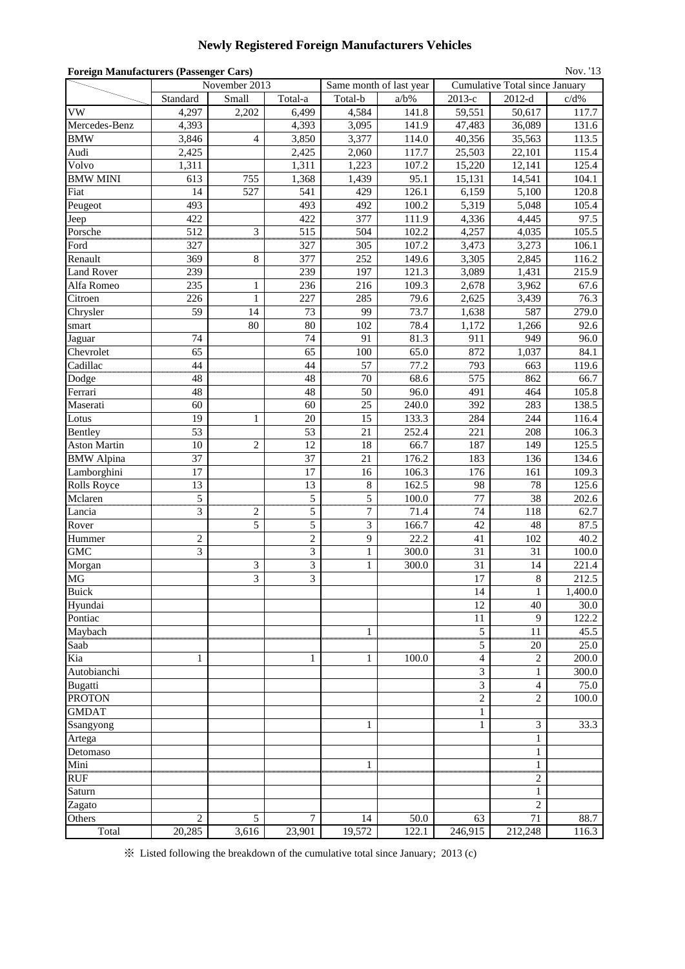## **Newly Registered Foreign Manufacturers Vehicles**

| Nov. '13<br><b>Foreign Manufacturers (Passenger Cars)</b> |                |                |                |                                   |         |                        |                                |         |  |  |  |
|-----------------------------------------------------------|----------------|----------------|----------------|-----------------------------------|---------|------------------------|--------------------------------|---------|--|--|--|
|                                                           |                | November 2013  |                | Same month of last year           |         |                        | Cumulative Total since January |         |  |  |  |
|                                                           | Standard       | Small          | Total-a        | Total-b                           | $a/b\%$ | $2013-c$               | $2012-d$                       | $c/d\%$ |  |  |  |
| <b>VW</b>                                                 | 4,297          | 2,202          | 6,499          | 4,584                             | 141.8   | 59,551                 | 50,617                         | 117.7   |  |  |  |
| Mercedes-Benz                                             | 4,393          |                | 4,393          | 3,095                             | 141.9   | 47,483                 | 36,089                         | 131.6   |  |  |  |
| <b>BMW</b>                                                | 3,846          | $\overline{4}$ | 3,850          | 3,377                             | 114.0   | 40,356                 | 35,563                         | 113.5   |  |  |  |
| Audi                                                      | 2,425          |                | 2,425          | 2,060                             | 117.7   | 25,503                 | 22,101                         | 115.4   |  |  |  |
| Volvo                                                     | 1,311          |                | 1,311          | 1,223                             | 107.2   | 15,220                 | 12,141                         | 125.4   |  |  |  |
| <b>BMW MINI</b>                                           | 613            | 755            | 1,368          | 1,439                             | 95.1    | 15,131                 | 14,541                         | 104.1   |  |  |  |
| Fiat                                                      | 14             | 527            | 541            | 429                               | 126.1   | 6,159                  | 5,100                          | 120.8   |  |  |  |
| Peugeot                                                   | 493            |                | 493            | 492                               | 100.2   | 5,319                  | 5,048                          | 105.4   |  |  |  |
| Jeep                                                      | 422            |                | 422            | 377                               | 111.9   | 4,336                  | 4,445                          | 97.5    |  |  |  |
| Porsche                                                   | 512            | $\mathfrak{Z}$ | 515            | 504                               | 102.2   | 4,257                  | 4,035                          | 105.5   |  |  |  |
| Ford                                                      | 327            |                | 327            | 305                               | 107.2   | 3,473                  | 3,273                          | 106.1   |  |  |  |
| Renault                                                   | 369            | $\,$ 8 $\,$    | 377            | 252                               | 149.6   | 3,305                  | 2,845                          | 116.2   |  |  |  |
| <b>Land Rover</b>                                         | 239            |                | 239            | 197                               | 121.3   | 3,089                  | 1,431                          | 215.9   |  |  |  |
| Alfa Romeo                                                | 235            | $\mathbf{1}$   | 236            | 216                               | 109.3   | 2,678                  | 3,962                          | 67.6    |  |  |  |
| Citroen                                                   | 226            | 1              | 227            | 285                               | 79.6    | 2,625                  | 3,439                          | 76.3    |  |  |  |
| Chrysler                                                  | 59             | 14             | 73             | 99                                | 73.7    | 1,638                  | 587                            | 279.0   |  |  |  |
| smart                                                     |                | 80             | 80             | 102                               | 78.4    | 1,172                  | 1,266                          | 92.6    |  |  |  |
| Jaguar                                                    | 74             |                | 74             | 91                                | 81.3    | 911                    | 949                            | 96.0    |  |  |  |
| Chevrolet                                                 | 65             |                | 65             | 100                               | 65.0    | 872                    | 1,037                          | 84.1    |  |  |  |
| Cadillac                                                  | 44             |                | 44             | 57                                | 77.2    | 793                    | 663                            | 119.6   |  |  |  |
| Dodge                                                     | 48             |                | 48             | 70                                | 68.6    | 575                    | 862                            | 66.7    |  |  |  |
| Ferrari                                                   | 48             |                | 48             | 50                                | 96.0    | 491                    | 464                            | 105.8   |  |  |  |
| Maserati                                                  | 60             |                | 60             | 25                                | 240.0   | 392                    | 283                            | 138.5   |  |  |  |
| Lotus                                                     | 19             | 1              | 20             | 15                                | 133.3   | 284                    | 244                            | 116.4   |  |  |  |
| Bentley                                                   | 53             |                | 53             | 21                                | 252.4   | 221                    | 208                            | 106.3   |  |  |  |
| <b>Aston Martin</b>                                       | 10             | $\mathbf{2}$   | 12             | 18                                | 66.7    | 187                    | 149                            | 125.5   |  |  |  |
| <b>BMW</b> Alpina                                         | 37             |                | 37             | 21                                | 176.2   | 183                    | 136                            | 134.6   |  |  |  |
| Lamborghini                                               | 17             |                | 17             | 16                                | 106.3   | 176                    | 161                            | 109.3   |  |  |  |
| Rolls Royce                                               | 13             |                | 13             | $\,8\,$                           | 162.5   | 98                     | 78                             | 125.6   |  |  |  |
| Mclaren                                                   | $\overline{5}$ |                | 5<br>uūn       | $\overline{5}$                    | 100.0   | $\overline{77}$<br>uum | $\overline{38}$                | 202.6   |  |  |  |
| Lancia                                                    | 3              | 2              | 5              | 7                                 | 71.4    | 74                     | 118                            | 62.7    |  |  |  |
| Rover                                                     |                | 5              | 5              | 3                                 | 166.7   | 42                     | 48                             | 87.5    |  |  |  |
| Hummer                                                    | $\overline{c}$ |                | $\overline{c}$ | 9                                 | 22.2    | 41                     | 102                            | 40.2    |  |  |  |
| <b>GMC</b>                                                | 3              |                | 3              | $\mathbf{1}$                      | 300.0   | 31                     | 31                             | 100.0   |  |  |  |
| Morgan                                                    |                | 3              | 3              | $\mathbf{1}$                      | 300.0   | 31                     | 14                             | 221.4   |  |  |  |
| <b>MG</b>                                                 |                | 3              | 3              |                                   |         | $17\,$                 | $\,8\,$                        | 212.5   |  |  |  |
| <b>Buick</b>                                              |                |                |                |                                   |         | 14                     | $\mathbf{1}$                   | 1,400.0 |  |  |  |
| Hyundai                                                   |                |                |                |                                   |         | 12                     | 40                             | 30.0    |  |  |  |
| Pontiac                                                   |                |                |                |                                   |         | 11                     | 9                              | 122.2   |  |  |  |
| Maybach                                                   |                |                |                | 1                                 |         | $\frac{5}{2}$          | $\frac{11}{2}$                 | 45.5    |  |  |  |
| Saab                                                      |                |                |                |                                   |         | 5                      | 20                             | 25.0    |  |  |  |
| Kia                                                       | 1              |                | 1              | $\mathbf 1$                       | 100.0   | $\overline{4}$         | 2                              | 200.0   |  |  |  |
| Autobianchi                                               |                |                |                |                                   |         | 3                      | 1                              | 300.0   |  |  |  |
| <b>Bugatti</b>                                            |                |                |                |                                   |         | 3                      | 4                              | 75.0    |  |  |  |
| <b>PROTON</b>                                             |                |                |                |                                   |         | $\overline{c}$         | $\overline{2}$                 | 100.0   |  |  |  |
| <b>GMDAT</b>                                              |                |                |                |                                   |         | $\mathbf{1}$           |                                |         |  |  |  |
| Ssangyong                                                 |                |                |                | 1                                 |         | 1                      | 3                              | 33.3    |  |  |  |
| Artega                                                    |                |                |                |                                   |         |                        | $\mathbf{1}$                   |         |  |  |  |
| Detomaso                                                  |                |                |                |                                   |         |                        | 1                              |         |  |  |  |
| Mini                                                      |                |                |                | 1<br>,,,,,,,,,,,,,,,,,,,,,,,,,,,, |         |                        | $\mathbf{1}$<br>               |         |  |  |  |
| <b>RUF</b>                                                |                |                |                |                                   |         |                        | $\overline{c}$                 |         |  |  |  |
| Saturn                                                    |                |                |                |                                   |         |                        | 1                              |         |  |  |  |
| Zagato                                                    |                |                |                |                                   |         |                        | $\overline{2}$                 |         |  |  |  |
| Others                                                    | $\overline{2}$ | 5              | 7              | 14                                | 50.0    | 63                     | 71                             | 88.7    |  |  |  |
| Total                                                     | 20,285         | 3,616          | 23,901         | 19,572                            | 122.1   | 246,915                | 212,248                        | 116.3   |  |  |  |

※ Listed following the breakdown of the cumulative total since January; 2013 (c)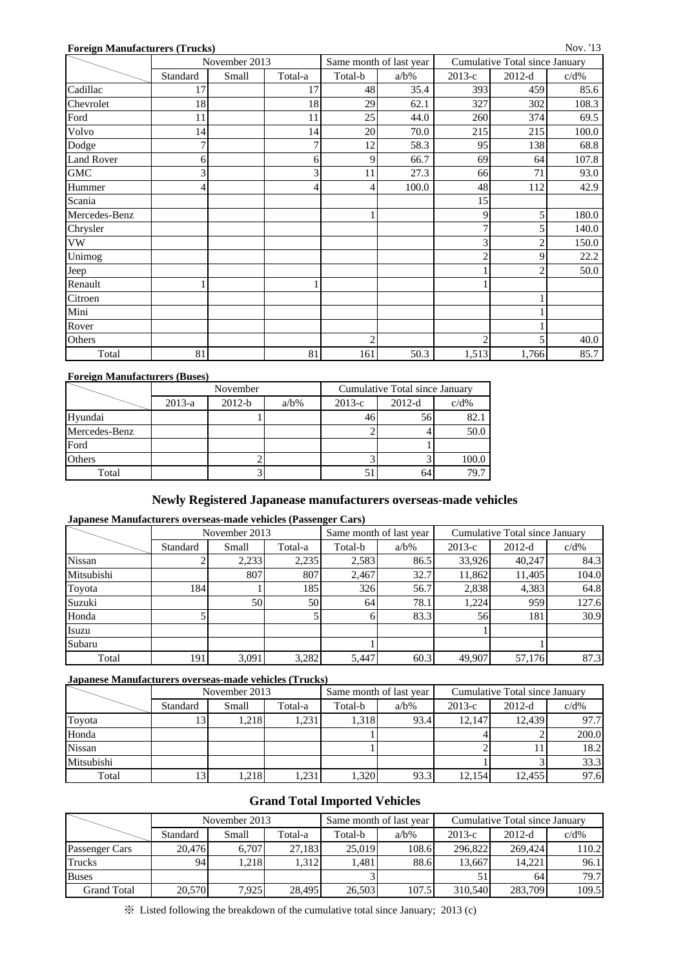### **Foreign Manufacturers (Trucks)**

| <u>0101811 MARIALACHE (1100110</u> | November 2013 |       |         | Same month of last year |         | Cumulative Total since January |                |         |  |
|------------------------------------|---------------|-------|---------|-------------------------|---------|--------------------------------|----------------|---------|--|
|                                    | Standard      | Small | Total-a | Total-b                 | $a/b\%$ | $2013-c$                       | $2012-d$       | $c/d\%$ |  |
| Cadillac                           | 17            |       | 17      | 48                      | 35.4    | 393                            | 459            | 85.6    |  |
| Chevrolet                          | 18            |       | 18      | 29                      | 62.1    | 327                            | 302            | 108.3   |  |
| Ford                               | 11            |       | 11      | 25                      | 44.0    | 260                            | 374            | 69.5    |  |
| Volvo                              | 14            |       | 14      | $20\,$                  | 70.0    | 215                            | 215            | 100.0   |  |
| Dodge                              | 7             |       |         | 12                      | 58.3    | 95                             | 138            | 68.8    |  |
| <b>Land Rover</b>                  | 6             |       | 6       | 9                       | 66.7    | 69                             | 64             | 107.8   |  |
| ${\rm GMC}$                        | 3             |       | 3       | 11                      | 27.3    | 66                             | 71             | 93.0    |  |
| Hummer                             | 4             |       | 4       | 4                       | 100.0   | 48                             | 112            | 42.9    |  |
| Scania                             |               |       |         |                         |         | 15                             |                |         |  |
| Mercedes-Benz                      |               |       |         |                         |         | 9                              | 5              | 180.0   |  |
| Chrysler                           |               |       |         |                         |         | $\overline{7}$                 | 5              | 140.0   |  |
| ${\rm VW}$                         |               |       |         |                         |         | 3                              | $\overline{c}$ | 150.0   |  |
| Unimog                             |               |       |         |                         |         | $\mathbf{2}$                   | 9              | 22.2    |  |
| Jeep                               |               |       |         |                         |         |                                | 2              | 50.0    |  |
| Renault                            |               |       |         |                         |         |                                |                |         |  |
| Citroen                            |               |       |         |                         |         |                                |                |         |  |
| Mini                               |               |       |         |                         |         |                                |                |         |  |
| Rover                              |               |       |         |                         |         |                                |                |         |  |
| Others                             |               |       |         | $\overline{c}$          |         | $\overline{c}$                 | $\mathbf{5}$   | 40.0    |  |
| Total                              | 81            |       | 81      | 161                     | 50.3    | 1,513                          | 1,766          | 85.7    |  |

### **Foreign Manufacturers (Buses)**

|               |          | November |         | Cumulative Total since January |          |         |  |  |
|---------------|----------|----------|---------|--------------------------------|----------|---------|--|--|
|               | $2013-a$ | $2012-b$ | $a/b\%$ | $2013-c$                       | $2012-d$ | $c/d\%$ |  |  |
| Hyundai       |          |          |         |                                |          | 82.     |  |  |
| Mercedes-Benz |          |          |         |                                |          | 50.0    |  |  |
| Ford          |          |          |         |                                |          |         |  |  |
| Others        |          |          |         |                                |          | 100.0   |  |  |
| Total         |          |          |         |                                |          | 79.7    |  |  |

## **Newly Registered Japanease manufacturers overseas-made vehicles**

#### **Japanese Manufacturers overseas-made vehicles (Passenger Cars)**

|            |          | November 2013 |         |         | Same month of last year | Cumulative Total since January |          |         |  |
|------------|----------|---------------|---------|---------|-------------------------|--------------------------------|----------|---------|--|
|            | Standard | Small         | Total-a | Total-b | $a/b\%$                 | $2013-c$                       | $2012-d$ | $c/d\%$ |  |
| Nissan     |          | 2,233         | 2,235   | 2,583   | 86.5                    | 33,926                         | 40,247   | 84.3    |  |
| Mitsubishi |          | 807           | 807     | 2.467   | 32.7                    | 11,862                         | 11.405   | 104.0   |  |
| Toyota     | 184      |               | 185     | 326     | 56.7                    | 2,838                          | 4,383    | 64.8    |  |
| Suzuki     |          | 50            | 50      | 64      | 78.1                    | 1,224                          | 959      | 127.6   |  |
| Honda      |          |               |         |         | 83.3                    | 56                             | 181      | 30.9    |  |
| Isuzu      |          |               |         |         |                         |                                |          |         |  |
| Subaru     |          |               |         |         |                         |                                |          |         |  |
| Total      | 191      | 3,091         | 3,282   | 5,447   | 60.3                    | 49.907                         | 57,176   | 87.3    |  |

#### **Japanese Manufacturers overseas-made vehicles (Trucks)**

|               |          | November 2013 |         |         | Same month of last year | Cumulative Total since January |          |         |  |
|---------------|----------|---------------|---------|---------|-------------------------|--------------------------------|----------|---------|--|
|               | Standard | Small         | Total-a | Total-b | $a/b\%$                 | $2013-c$                       | $2012-d$ | $c/d\%$ |  |
| Toyota        |          | 1,218         | 1.231   | 1.318   | 93.4                    | 12.147                         | 12.439   | 97.7    |  |
| Honda         |          |               |         |         |                         |                                |          | 200.0   |  |
| <b>Nissan</b> |          |               |         |         |                         |                                |          | 18.2    |  |
| Mitsubishi    |          |               |         |         |                         |                                |          | 33.3    |  |
| Total         |          | 1,218         | .231    | 1.320   | 93.3                    | 12,154                         | 12.455   | 97.6    |  |

## **Grand Total Imported Vehicles**

|                    |          | November 2013 |         |         | Same month of last year | Cumulative Total since January |          |         |  |
|--------------------|----------|---------------|---------|---------|-------------------------|--------------------------------|----------|---------|--|
|                    | Standard | Small         | Total-a | Total-b | $a/b\%$                 | $2013-c$                       | $2012-d$ | $c/d\%$ |  |
| Passenger Cars     | 20.476   | 6.707         | 27.183  | 25,019  | 108.6                   | 296,822                        | 269,424  | 110.2   |  |
| Trucks             | 94       | .218          | 1.312   | l.481   | 88.6                    | 13.667                         | 14.221   | 96.1    |  |
| <b>Buses</b>       |          |               |         |         |                         | 51                             | 64 I     | 79.7    |  |
| <b>Grand Total</b> | 20.570   | 7.925         | 28.495  | 26.503  | 107.5                   | 310.540                        | 283,709  | 109.5   |  |

※ Listed following the breakdown of the cumulative total since January; 2013 (c)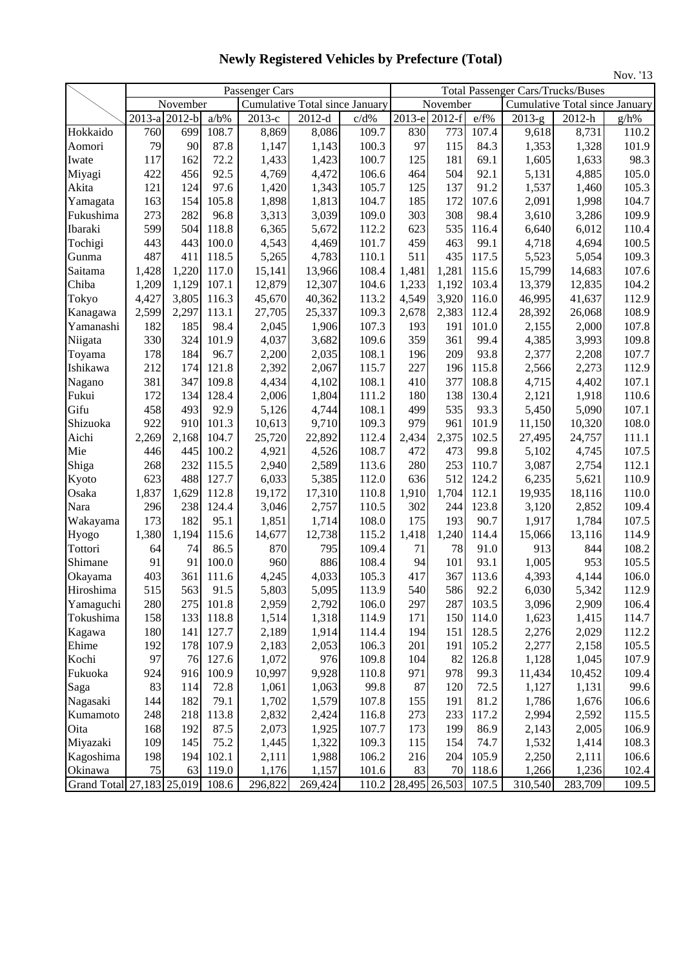|                           |                      |          |         |                |                                       |       |        |               |       |                                          |                                | Nov. '13 |
|---------------------------|----------------------|----------|---------|----------------|---------------------------------------|-------|--------|---------------|-------|------------------------------------------|--------------------------------|----------|
|                           |                      |          |         | Passenger Cars |                                       |       |        |               |       | <b>Total Passenger Cars/Trucks/Buses</b> |                                |          |
|                           |                      | November |         |                | <b>Cumulative Total since January</b> |       |        | November      |       |                                          | Cumulative Total since January |          |
|                           | $\overline{2013}$ -a | $2012-b$ | $a/b\%$ | 2013-е         | $2012-d$                              | c/d%  | 2013-е | $2012-f$      | e/f%  | $\overline{2013} - g$                    | 2012-h                         | g/h%     |
| Hokkaido                  | 760                  | 699      | 108.7   | 8,869          | 8,086                                 | 109.7 | 830    | 773           | 107.4 | 9,618                                    | 8,731                          | 110.2    |
| Aomori                    | 79                   | 90       | 87.8    | 1,147          | 1,143                                 | 100.3 | 97     | 115           | 84.3  | 1,353                                    | 1,328                          | 101.9    |
| Iwate                     | 117                  | 162      | 72.2    | 1,433          | 1,423                                 | 100.7 | 125    | 181           | 69.1  | 1,605                                    | 1,633                          | 98.3     |
| Miyagi                    | 422                  | 456      | 92.5    | 4,769          | 4,472                                 | 106.6 | 464    | 504           | 92.1  | 5,131                                    | 4,885                          | 105.0    |
| Akita                     | 121                  | 124      | 97.6    | 1,420          | 1,343                                 | 105.7 | 125    | 137           | 91.2  | 1,537                                    | 1,460                          | 105.3    |
| Yamagata                  | 163                  | 154      | 105.8   | 1,898          | 1,813                                 | 104.7 | 185    | 172           | 107.6 | 2,091                                    | 1,998                          | 104.7    |
| Fukushima                 | 273                  | 282      | 96.8    | 3,313          | 3,039                                 | 109.0 | 303    | 308           | 98.4  | 3,610                                    | 3,286                          | 109.9    |
| Ibaraki                   | 599                  | 504      | 118.8   | 6,365          | 5,672                                 | 112.2 | 623    | 535           | 116.4 | 6,640                                    | 6,012                          | 110.4    |
| Tochigi                   | 443                  | 443      | 100.0   | 4,543          | 4,469                                 | 101.7 | 459    | 463           | 99.1  | 4,718                                    | 4,694                          | 100.5    |
| Gunma                     | 487                  | 411      | 118.5   | 5,265          | 4,783                                 | 110.1 | 511    | 435           | 117.5 | 5,523                                    | 5,054                          | 109.3    |
| Saitama                   | 1,428                | 1,220    | 117.0   | 15,141         | 13,966                                | 108.4 | 1,481  | 1,281         | 115.6 | 15,799                                   | 14,683                         | 107.6    |
| Chiba                     | 1,209                | 1,129    | 107.1   | 12,879         | 12,307                                | 104.6 | 1,233  | 1,192         | 103.4 | 13,379                                   | 12,835                         | 104.2    |
| Tokyo                     | 4,427                | 3,805    | 116.3   | 45,670         | 40,362                                | 113.2 | 4,549  | 3,920         | 116.0 | 46,995                                   | 41,637                         | 112.9    |
| Kanagawa                  | 2,599                | 2,297    | 113.1   | 27,705         | 25,337                                | 109.3 | 2,678  | 2,383         | 112.4 | 28,392                                   | 26,068                         | 108.9    |
| Yamanashi                 | 182                  | 185      | 98.4    | 2,045          | 1,906                                 | 107.3 | 193    | 191           | 101.0 | 2,155                                    | 2,000                          | 107.8    |
| Niigata                   | 330                  | 324      | 101.9   | 4,037          | 3,682                                 | 109.6 | 359    | 361           | 99.4  | 4,385                                    | 3,993                          | 109.8    |
| Toyama                    | 178                  | 184      | 96.7    | 2,200          | 2,035                                 | 108.1 | 196    | 209           | 93.8  | 2,377                                    | 2,208                          | 107.7    |
| Ishikawa                  | 212                  | 174      | 121.8   | 2,392          | 2,067                                 | 115.7 | 227    | 196           | 115.8 | 2,566                                    | 2,273                          | 112.9    |
| Nagano                    | 381                  | 347      | 109.8   | 4,434          | 4,102                                 | 108.1 | 410    | 377           | 108.8 | 4,715                                    | 4,402                          | 107.1    |
| Fukui                     | 172                  | 134      | 128.4   | 2,006          | 1,804                                 | 111.2 | 180    | 138           | 130.4 | 2,121                                    | 1,918                          | 110.6    |
| Gifu                      | 458                  | 493      | 92.9    | 5,126          | 4,744                                 | 108.1 | 499    | 535           | 93.3  | 5,450                                    | 5,090                          | 107.1    |
| Shizuoka                  | 922                  | 910      | 101.3   | 10,613         | 9,710                                 | 109.3 | 979    | 961           | 101.9 | 11,150                                   | 10,320                         | 108.0    |
| Aichi                     | 2,269                | 2,168    | 104.7   | 25,720         | 22,892                                | 112.4 | 2,434  | 2,375         | 102.5 | 27,495                                   | 24,757                         | 111.1    |
| Mie                       | 446                  | 445      | 100.2   | 4,921          | 4,526                                 | 108.7 | 472    | 473           | 99.8  | 5,102                                    | 4,745                          | 107.5    |
| Shiga                     | 268                  | 232      | 115.5   | 2,940          | 2,589                                 | 113.6 | 280    | 253           | 110.7 | 3,087                                    | 2,754                          | 112.1    |
| Kyoto                     | 623                  | 488      | 127.7   | 6,033          | 5,385                                 | 112.0 | 636    | 512           | 124.2 | 6,235                                    | 5,621                          | 110.9    |
| Osaka                     | 1,837                | 1,629    | 112.8   | 19,172         | 17,310                                | 110.8 | 1,910  | 1,704         | 112.1 | 19,935                                   | 18,116                         | 110.0    |
| Nara                      | 296                  | 238      | 124.4   | 3,046          | 2,757                                 | 110.5 | 302    | 244           | 123.8 | 3,120                                    | 2,852                          | 109.4    |
| Wakayama                  | 173                  | 182      | 95.1    | 1,851          | 1,714                                 | 108.0 | 175    | 193           | 90.7  | 1,917                                    | 1,784                          | 107.5    |
| Hyogo                     | 1,380                | 1,194    | 115.6   | 14,677         | 12,738                                | 115.2 | 1,418  | 1,240         | 114.4 | 15,066                                   | 13,116                         | 114.9    |
| Tottori                   | 64                   | 74       | 86.5    | 870            | 795                                   | 109.4 | 71     | 78            | 91.0  | 913                                      | 844                            | 108.2    |
| Shimane                   | 91                   | 91       | 100.0   | 960            | 886                                   | 108.4 | 94     | 101           | 93.1  | 1,005                                    | 953                            | 105.5    |
| Okayama                   | 403                  | 361      | 111.6   | 4,245          | 4,033                                 | 105.3 | 417    | 367           | 113.6 | 4,393                                    | 4,144                          | 106.0    |
| Hiroshima                 | 515                  | 563      | 91.5    | 5,803          | 5,095                                 | 113.9 | 540    | 586           | 92.2  | 6,030                                    | 5,342                          | 112.9    |
| Yamaguchi                 | 280                  | 275      | 101.8   | 2,959          | 2,792                                 | 106.0 | 297    | 287           | 103.5 | 3,096                                    | 2,909                          | 106.4    |
| Tokushima                 | 158                  | 133      | 118.8   | 1,514          | 1,318                                 | 114.9 | 171    | 150           | 114.0 | 1,623                                    | 1,415                          | 114.7    |
| Kagawa                    | 180                  | 141      | 127.7   | 2,189          | 1,914                                 | 114.4 | 194    | 151           | 128.5 | 2,276                                    | 2,029                          | 112.2    |
| Ehime                     | 192                  | 178      | 107.9   | 2,183          | 2,053                                 | 106.3 | 201    | 191           | 105.2 | 2,277                                    | 2,158                          | 105.5    |
| Kochi                     | 97                   | 76       | 127.6   | 1,072          | 976                                   | 109.8 | 104    | 82            | 126.8 | 1,128                                    | 1,045                          | 107.9    |
| Fukuoka                   | 924                  | 916      | 100.9   | 10,997         | 9,928                                 | 110.8 | 971    | 978           | 99.3  | 11,434                                   | 10,452                         | 109.4    |
| Saga                      | 83                   | 114      | 72.8    | 1,061          | 1,063                                 | 99.8  | 87     | 120           | 72.5  | 1,127                                    | 1,131                          | 99.6     |
| Nagasaki                  | 144                  | 182      | 79.1    | 1,702          | 1,579                                 | 107.8 | 155    | 191           | 81.2  | 1,786                                    | 1,676                          | 106.6    |
| Kumamoto                  | 248                  | 218      | 113.8   | 2,832          | 2,424                                 | 116.8 | 273    | 233           | 117.2 | 2,994                                    | 2,592                          | 115.5    |
| Oita                      | 168                  | 192      | 87.5    | 2,073          | 1,925                                 | 107.7 | 173    | 199           | 86.9  | 2,143                                    | 2,005                          | 106.9    |
| Miyazaki                  | 109                  | 145      | 75.2    | 1,445          | 1,322                                 | 109.3 | 115    | 154           | 74.7  | 1,532                                    | 1,414                          | 108.3    |
| Kagoshima                 | 198                  | 194      | 102.1   | 2,111          | 1,988                                 | 106.2 | 216    | 204           | 105.9 | 2,250                                    | 2,111                          | 106.6    |
| Okinawa                   | 75                   | 63       | 119.0   | 1,176          | 1,157                                 | 101.6 | 83     | 70            | 118.6 | 1,266                                    | 1,236                          | 102.4    |
| Grand Total 27,183 25,019 |                      |          | 108.6   | 296,822        | 269,424                               | 110.2 |        | 28,495 26,503 | 107.5 | 310,540                                  | 283,709                        | 109.5    |

**Newly Registered Vehicles by Prefecture (Total)**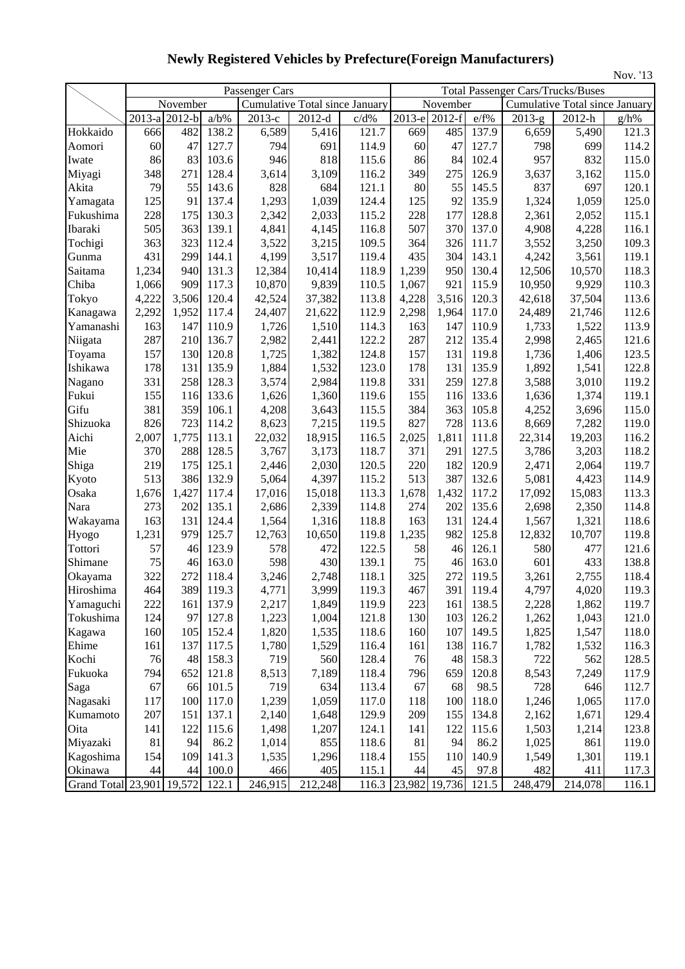| Nov. '13                  |               |          |         |                                |                      |       |               |          |       |          |                                          |         |  |  |
|---------------------------|---------------|----------|---------|--------------------------------|----------------------|-------|---------------|----------|-------|----------|------------------------------------------|---------|--|--|
|                           |               |          |         | Passenger Cars                 |                      |       |               |          |       |          | <b>Total Passenger Cars/Trucks/Buses</b> |         |  |  |
|                           |               | November |         | Cumulative Total since January |                      |       |               | November |       |          | <b>Cumulative Total since January</b>    |         |  |  |
|                           | 2013-a 2012-b |          | $a/b\%$ | 2013-е                         | $2012-d$             | c/d%  | 2013-e 2012-f |          | e/f%  | $2013-g$ | 2012-h                                   | $g/h\%$ |  |  |
| Hokkaido                  | 666           | 482      | 138.2   | 6,589                          | 5,416                | 121.7 | 669           | 485      | 137.9 | 6,659    | 5,490                                    | 121.3   |  |  |
| Aomori                    | 60            | 47       | 127.7   | 794                            | 691                  | 114.9 | 60            | 47       | 127.7 | 798      | 699                                      | 114.2   |  |  |
| Iwate                     | 86            | 83       | 103.6   | 946                            | 818                  | 115.6 | 86            | 84       | 102.4 | 957      | 832                                      | 115.0   |  |  |
| Miyagi                    | 348           | 271      | 128.4   | 3,614                          | 3,109                | 116.2 | 349           | 275      | 126.9 | 3,637    | 3,162                                    | 115.0   |  |  |
| Akita                     | 79            | 55       | 143.6   | 828                            | 684                  | 121.1 | 80            | 55       | 145.5 | 837      | 697                                      | 120.1   |  |  |
| Yamagata                  | 125           | 91       | 137.4   | 1,293                          | 1,039                | 124.4 | 125           | 92       | 135.9 | 1,324    | 1,059                                    | 125.0   |  |  |
| Fukushima                 | 228           | 175      | 130.3   | 2,342                          | 2,033                | 115.2 | 228           | 177      | 128.8 | 2,361    | 2,052                                    | 115.1   |  |  |
| Ibaraki                   | 505           | 363      | 139.1   | 4,841                          | 4,145                | 116.8 | 507           | 370      | 137.0 | 4,908    | 4,228                                    | 116.1   |  |  |
| Tochigi                   | 363           | 323      | 112.4   | 3,522                          | 3,215                | 109.5 | 364           | 326      | 111.7 | 3,552    | 3,250                                    | 109.3   |  |  |
| Gunma                     | 431           | 299      | 144.1   | 4,199                          | 3,517                | 119.4 | 435           | 304      | 143.1 | 4,242    | 3,561                                    | 119.1   |  |  |
| Saitama                   | 1,234         | 940      | 131.3   | 12,384                         | 10,414               | 118.9 | 1,239         | 950      | 130.4 | 12,506   | 10,570                                   | 118.3   |  |  |
| Chiba                     | 1,066         | 909      | 117.3   | 10,870                         | 9,839                | 110.5 | 1,067         | 921      | 115.9 | 10,950   | 9,929                                    | 110.3   |  |  |
| Tokyo                     | 4,222         | 3,506    | 120.4   | 42,524                         | 37,382               | 113.8 | 4,228         | 3,516    | 120.3 | 42,618   | 37,504                                   | 113.6   |  |  |
| Kanagawa                  | 2,292         | 1,952    | 117.4   | 24,407                         | 21,622               | 112.9 | 2,298         | 1,964    | 117.0 | 24,489   | 21,746                                   | 112.6   |  |  |
| Yamanashi                 | 163           | 147      | 110.9   | 1,726                          | 1,510                | 114.3 | 163           | 147      | 110.9 | 1,733    | 1,522                                    | 113.9   |  |  |
| Niigata                   | 287           | 210      | 136.7   | 2,982                          | 2,441                | 122.2 | 287           | 212      | 135.4 | 2,998    | 2,465                                    | 121.6   |  |  |
| Toyama                    | 157           | 130      | 120.8   | 1,725                          | 1,382                | 124.8 | 157           | 131      | 119.8 | 1,736    | 1,406                                    | 123.5   |  |  |
| Ishikawa                  | 178           | 131      | 135.9   | 1,884                          | 1,532                | 123.0 | 178           | 131      | 135.9 | 1,892    | 1,541                                    | 122.8   |  |  |
| Nagano                    | 331           | 258      | 128.3   | 3,574                          | 2,984                | 119.8 | 331           | 259      | 127.8 | 3,588    | 3,010                                    | 119.2   |  |  |
| Fukui                     | 155           | 116      | 133.6   | 1,626                          | 1,360                | 119.6 | 155           | 116      | 133.6 | 1,636    | 1,374                                    | 119.1   |  |  |
| Gifu                      | 381           | 359      | 106.1   | 4,208                          | 3,643                | 115.5 | 384           | 363      | 105.8 | 4,252    | 3,696                                    | 115.0   |  |  |
| Shizuoka                  | 826           | 723      | 114.2   | 8,623                          | 7,215                | 119.5 | 827           | 728      | 113.6 | 8,669    | 7,282                                    | 119.0   |  |  |
| Aichi                     | 2,007         | 1,775    | 113.1   | 22,032                         | 18,915               | 116.5 | 2,025         | 1,811    | 111.8 | 22,314   | 19,203                                   | 116.2   |  |  |
| Mie                       | 370           | 288      | 128.5   | 3,767                          | 3,173                | 118.7 | 371           | 291      | 127.5 | 3,786    | 3,203                                    | 118.2   |  |  |
| Shiga                     | 219           | 175      | 125.1   | 2,446                          | 2,030                | 120.5 | 220           | 182      | 120.9 | 2,471    | 2,064                                    | 119.7   |  |  |
| Kyoto                     | 513           | 386      | 132.9   | 5,064                          | 4,397                | 115.2 | 513           | 387      | 132.6 | 5,081    | 4,423                                    | 114.9   |  |  |
| Osaka                     | 1,676         | 1,427    | 117.4   | 17,016                         | 15,018               | 113.3 | 1,678         | 1,432    | 117.2 | 17,092   | 15,083                                   | 113.3   |  |  |
| Nara                      | 273           | 202      | 135.1   | 2,686                          | 2,339                | 114.8 | 274           | 202      | 135.6 | 2,698    | 2,350                                    | 114.8   |  |  |
| Wakayama                  | 163           | 131      | 124.4   | 1,564                          | 1,316                | 118.8 | 163           | 131      | 124.4 | 1,567    | 1,321                                    | 118.6   |  |  |
| Hyogo                     | 1,231         | 979      | 125.7   | 12,763                         | 10,650               | 119.8 | 1,235         | 982      | 125.8 | 12,832   | 10,707                                   | 119.8   |  |  |
| Tottori                   | 57            | 46       | 123.9   | 578                            | 472                  | 122.5 | 58            | 46       | 126.1 | 580      | 477                                      | 121.6   |  |  |
| Shimane                   | 75            | 46       | 163.0   | 598                            | 430                  | 139.1 | 75            | 46       | 163.0 | 601      | 433                                      | 138.8   |  |  |
| Okayama                   | 322           | 272      | 118.4   | 3,246                          | 2,748                | 118.1 | 325           | 272      | 119.5 | 3,261    | 2,755                                    | 118.4   |  |  |
| Hiroshima                 | 464           | 389      | 119.3   | 4,771                          | 3,999                | 119.3 | 467           | 391      | 119.4 | 4,797    | 4,020                                    | 119.3   |  |  |
| Yamaguchi                 | 222           | 161      | 137.9   | 2,217                          | 1,849                | 119.9 | 223           | 161      | 138.5 | 2,228    | 1,862                                    | 119.7   |  |  |
| Tokushima                 | 124           | 97       | 127.8   | 1,223                          | 1,004                | 121.8 | 130           | 103      | 126.2 | 1,262    | 1,043                                    | 121.0   |  |  |
| Kagawa                    | 160           | 105      | 152.4   | 1,820                          | 1,535                | 118.6 | 160           | 107      | 149.5 | 1,825    | 1,547                                    | 118.0   |  |  |
| Ehime                     | 161           | 137      | 117.5   | 1,780                          | 1,529                | 116.4 | 161           | 138      | 116.7 | 1,782    | 1,532                                    | 116.3   |  |  |
| Kochi                     | 76            | 48       | 158.3   | 719                            | 560                  | 128.4 | 76            | 48       | 158.3 | 722      | 562                                      | 128.5   |  |  |
| Fukuoka                   | 794           | 652      | 121.8   | 8,513                          | 7,189                | 118.4 | 796           | 659      | 120.8 | 8,543    | 7,249                                    | 117.9   |  |  |
| Saga                      | 67            | 66       | 101.5   | 719                            | 634                  | 113.4 | 67            | 68       | 98.5  | 728      | 646                                      | 112.7   |  |  |
| Nagasaki                  | 117           | 100      | 117.0   | 1,239                          | 1,059                | 117.0 | 118           | 100      | 118.0 | 1,246    | 1,065                                    | 117.0   |  |  |
| Kumamoto                  | 207           | 151      | 137.1   | 2,140                          | 1,648                | 129.9 | 209           | 155      | 134.8 | 2,162    | 1,671                                    | 129.4   |  |  |
| Oita                      | 141           | 122      | 115.6   | 1,498                          | 1,207                | 124.1 | 141           | 122      | 115.6 | 1,503    | 1,214                                    | 123.8   |  |  |
| Miyazaki                  | 81            | 94       | 86.2    | 1,014                          | 855                  | 118.6 | 81            | 94       | 86.2  | 1,025    | 861                                      | 119.0   |  |  |
| Kagoshima                 | 154           | 109      | 141.3   | 1,535                          | 1,296                | 118.4 | 155           | 110      | 140.9 | 1,549    | 1,301                                    | 119.1   |  |  |
| Okinawa                   | 44            | 44       | 100.0   | 466                            | 405                  | 115.1 | 44            | 45       | 97.8  | 482      | 411                                      | 117.3   |  |  |
| Grand Total 23,901 19,572 |               |          | 122.1   | 246,915                        | $\overline{212,248}$ | 116.3 | 23,982 19,736 |          | 121.5 | 248,479  | 214,078                                  | 116.1   |  |  |

**Newly Registered Vehicles by Prefecture(Foreign Manufacturers)**